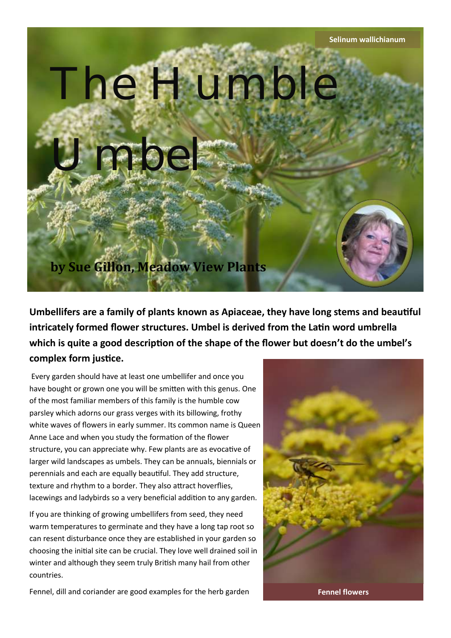

**Umbellifers are a family of plants known as Apiaceae, they have long stems and beautiful intricately formed flower structures. Umbel is derived from the Latin word umbrella which is quite a good description of the shape of the flower but doesn't do the umbel's complex form justice.** 

Every garden should have at least one umbellifer and once you have bought or grown one you will be smitten with this genus. One of the most familiar members of this family is the humble cow parsley which adorns our grass verges with its billowing, frothy white waves of flowers in early summer. Its common name is Queen Anne Lace and when you study the formation of the flower structure, you can appreciate why. Few plants are as evocative of larger wild landscapes as umbels. They can be annuals, biennials or perennials and each are equally beautiful. They add structure, texture and rhythm to a border. They also attract hoverflies, lacewings and ladybirds so a very beneficial addition to any garden.

If you are thinking of growing umbellifers from seed, they need warm temperatures to germinate and they have a long tap root so can resent disturbance once they are established in your garden so choosing the initial site can be crucial. They love well drained soil in winter and although they seem truly British many hail from other countries.



Fennel, dill and coriander are good examples for the herb garden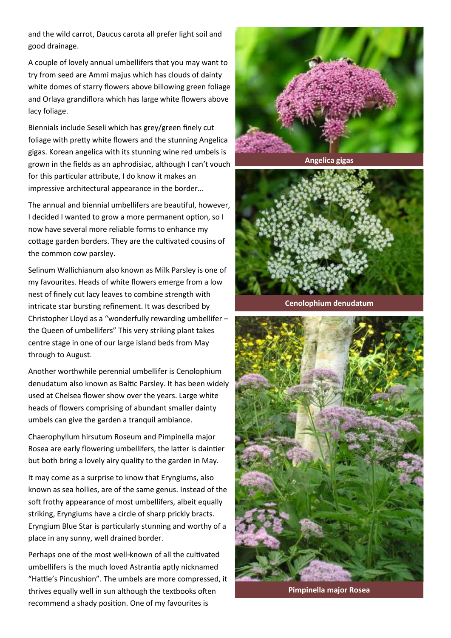and the wild carrot, Daucus carota all prefer light soil and good drainage.

A couple of lovely annual umbellifers that you may want to try from seed are Ammi majus which has clouds of dainty white domes of starry flowers above billowing green foliage and Orlaya grandiflora which has large white flowers above lacy foliage.

Biennials include Seseli which has grey/green finely cut foliage with pretty white flowers and the stunning Angelica gigas. Korean angelica with its stunning wine red umbels is grown in the fields as an aphrodisiac, although I can't vouch for this particular attribute, I do know it makes an impressive architectural appearance in the border…

The annual and biennial umbellifers are beautiful, however, I decided I wanted to grow a more permanent option, so I now have several more reliable forms to enhance my cottage garden borders. They are the cultivated cousins of the common cow parsley.

Selinum Wallichianum also known as Milk Parsley is one of my favourites. Heads of white flowers emerge from a low nest of finely cut lacy leaves to combine strength with intricate star bursting refinement. It was described by Christopher Lloyd as a "wonderfully rewarding umbellifer – the Queen of umbellifers" This very striking plant takes centre stage in one of our large island beds from May through to August.

Another worthwhile perennial umbellifer is Cenolophium denudatum also known as Baltic Parsley. It has been widely used at Chelsea flower show over the years. Large white heads of flowers comprising of abundant smaller dainty umbels can give the garden a tranquil ambiance.

Chaerophyllum hirsutum Roseum and Pimpinella major Rosea are early flowering umbellifers, the latter is daintier but both bring a lovely airy quality to the garden in May.

It may come as a surprise to know that Eryngiums, also known as sea hollies, are of the same genus. Instead of the soft frothy appearance of most umbellifers, albeit equally striking, Eryngiums have a circle of sharp prickly bracts. Eryngium Blue Star is particularly stunning and worthy of a place in any sunny, well drained border.

Perhaps one of the most well-known of all the cultivated umbellifers is the much loved Astrantia aptly nicknamed "Hattie's Pincushion". The umbels are more compressed, it thrives equally well in sun although the textbooks often recommend a shady position. One of my favourites is



**Angelica gigas**



**Cenolophium denudatum**



**Pimpinella major Rosea**